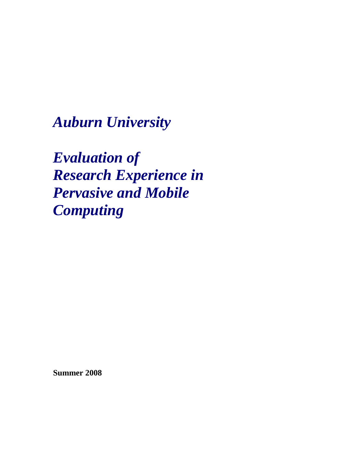*Auburn University*

*Evaluation of Research Experience in Pervasive and Mobile Computing*

**Summer 2008**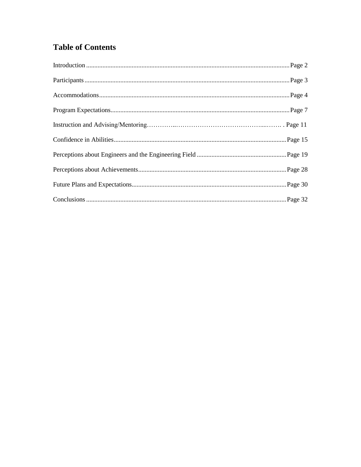# **Table of Contents**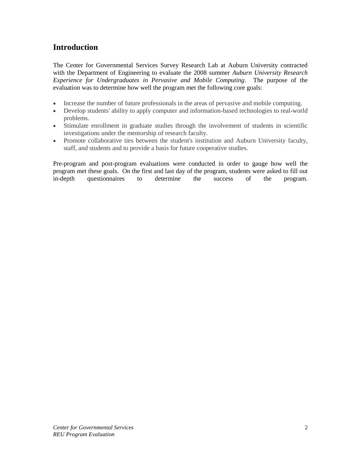# **Introduction**

The Center for Governmental Services Survey Research Lab at Auburn University contracted with the Department of Engineering to evaluate the 2008 summer *Auburn University Research Experience for Undergraduates in Pervasive and Mobile Computing*. The purpose of the evaluation was to determine how well the program met the following core goals:

- Increase the number of future professionals in the areas of pervasive and mobile computing.
- Develop students' ability to apply computer and information-based technologies to real-world problems.
- Stimulate enrollment in graduate studies through the involvement of students in scientific investigations under the mentorship of research faculty.
- Promote collaborative ties between the student's institution and Auburn University faculty, staff, and students and to provide a basis for future cooperative studies.

Pre-program and post-program evaluations were conducted in order to gauge how well the program met these goals. On the first and last day of the program, students were asked to fill out in-depth questionnaires to determine the success of the program.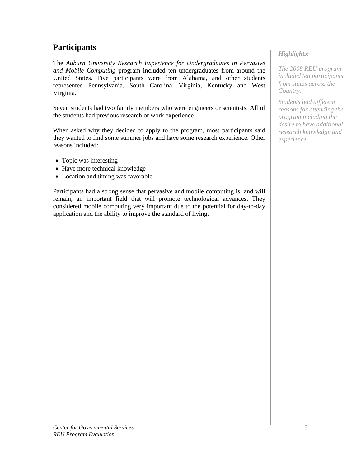# **Participants**

The *Auburn University Research Experience for Undergraduates in Pervasive and Mobile Computing* program included ten undergraduates from around the United States. Five participants were from Alabama, and other students represented Pennsylvania, South Carolina, Virginia, Kentucky and West Virginia.

Seven students had two family members who were engineers or scientists. All of the students had previous research or work experience

When asked why they decided to apply to the program, most participants said they wanted to find some summer jobs and have some research experience. Other reasons included:

- Topic was interesting
- Have more technical knowledge
- Location and timing was favorable

Participants had a strong sense that pervasive and mobile computing is, and will remain, an important field that will promote technological advances. They considered mobile computing very important due to the potential for day-to-day application and the ability to improve the standard of living.

# *Highlights:*

*The 2008 REU program included ten participants from states across the Country.*

*Students had different reasons for attending the program including the desire to have additional research knowledge and experience.*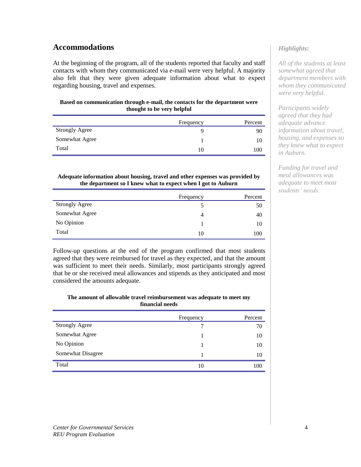# **Accommodations**

At the beginning of the program, all of the students reported that faculty and staff contacts with whom they communicated via e-mail were very helpful. A majority also felt that they were given adequate information about what to expect regarding housing, travel and expenses.

#### **Based on communication through e-mail, the contacts for the department were thought to be very helpful**

|                       | Frequency | Percent |
|-----------------------|-----------|---------|
| <b>Strongly Agree</b> |           | 90      |
| Somewhat Agree        |           | 10      |
| Total                 | 10        | 100     |

#### **Adequate information about housing, travel and other expenses was provided by the department so I knew what to expect when I got to Auburn**

|                       | Frequency | Percent |
|-----------------------|-----------|---------|
| <b>Strongly Agree</b> |           | 50      |
| Somewhat Agree        | 4         | 40      |
| No Opinion            |           | 10      |
| Total                 | 10        | 100     |

Follow-up questions at the end of the program confirmed that most students agreed that they were reimbursed for travel as they expected, and that the amount was sufficient to meet their needs. Similarly, most participants strongly agreed that he or she received meal allowances and stipends as they anticipated and most considered the amounts adequate.

#### **The amount of allowable travel reimbursement was adequate to meet my financial needs**

|                       | Frequency | Percent |
|-----------------------|-----------|---------|
| <b>Strongly Agree</b> |           | 70      |
| Somewhat Agree        |           | 10      |
| No Opinion            |           | 10      |
| Somewhat Disagree     |           | 10      |
| Total                 | 10        | 100     |

# *Highlights:*

*All of the students at least somewhat agreed that department members with whom they communicated were very helpful.*

*Participants widely agreed that they had adequate advance information about travel, housing, and expenses so they knew what to expect in Auburn.* 

*Funding for travel and meal allowances was adequate to meet most students' needs.*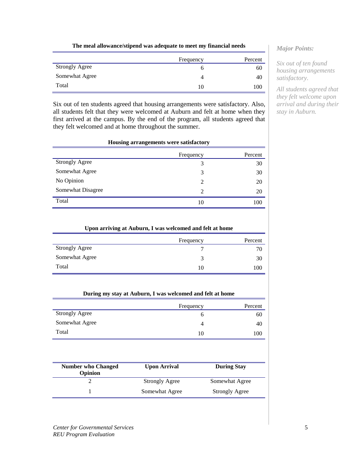|  | The meal allowance/stipend was adequate to meet my financial needs |
|--|--------------------------------------------------------------------|
|  |                                                                    |

|                       | Frequency | Percent |
|-----------------------|-----------|---------|
| <b>Strongly Agree</b> |           | ou      |
| Somewhat Agree        |           | 40      |
| Total                 |           | 100     |

Six out of ten students agreed that housing arrangements were satisfactory. Also, all students felt that they were welcomed at Auburn and felt at home when they first arrived at the campus. By the end of the program, all students agreed that they felt welcomed and at home throughout the summer.

#### **Housing arrangements were satisfactory**

|                       | Frequency      | Percent |
|-----------------------|----------------|---------|
| <b>Strongly Agree</b> | 3              | 30      |
| Somewhat Agree        | 3              | 30      |
| No Opinion            | $\overline{2}$ | 20      |
| Somewhat Disagree     | $\mathfrak{D}$ | 20      |
| Total                 | 10             | 100     |

| Upon arriving at Auburn, I was welcomed and felt at home |           |         |  |
|----------------------------------------------------------|-----------|---------|--|
|                                                          | Frequency | Percent |  |
| <b>Strongly Agree</b>                                    |           | 70      |  |
| Somewhat Agree                                           | 3         | 30      |  |
| Total                                                    | 10        | 100     |  |

|  |  | During my stay at Auburn, I was welcomed and felt at home |  |  |
|--|--|-----------------------------------------------------------|--|--|
|  |  |                                                           |  |  |

|                       | Frequency | Percent |
|-----------------------|-----------|---------|
| <b>Strongly Agree</b> | O         | 60      |
| Somewhat Agree        |           | 40      |
| Total                 | 10        | 100     |

| <b>Number who Changed</b><br><b>Opinion</b> | <b>Upon Arrival</b>   | <b>During Stay</b>    |
|---------------------------------------------|-----------------------|-----------------------|
|                                             | <b>Strongly Agree</b> | Somewhat Agree        |
|                                             | Somewhat Agree        | <b>Strongly Agree</b> |

#### *Major Points:*

*Six out of ten found housing arrangements satisfactory.*

*All students agreed that they felt welcome upon arrival and during their stay in Auburn.*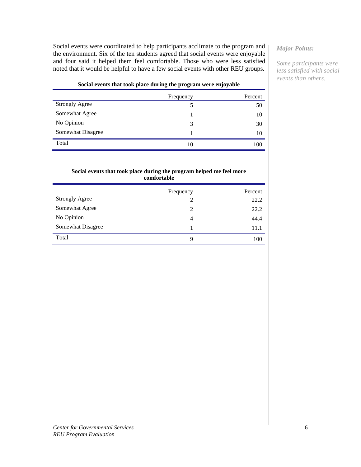Social events were coordinated to help participants acclimate to the program and the environment. Six of the ten students agreed that social events were enjoyable and four said it helped them feel comfortable. Those who were less satisfied noted that it would be helpful to have a few social events with other REU groups.

### *Major Points:*

*Some participants were less satisfied with social events than others.*

#### **Social events that took place during the program were enjoyable**

|                       | Frequency | Percent |
|-----------------------|-----------|---------|
| <b>Strongly Agree</b> |           | 50      |
| Somewhat Agree        |           | 10      |
| No Opinion            | 3         | 30      |
| Somewhat Disagree     |           | 10      |
| Total                 | 10        | 100     |

#### **Social events that took place during the program helped me feel more comfortable**

|                       | Frequency      | Percent |
|-----------------------|----------------|---------|
| <b>Strongly Agree</b> | $\overline{2}$ | 22.2    |
| Somewhat Agree        | $\overline{2}$ | 22.2    |
| No Opinion            | 4              | 44.4    |
| Somewhat Disagree     |                | 11.1    |
| Total                 | 9              | 100     |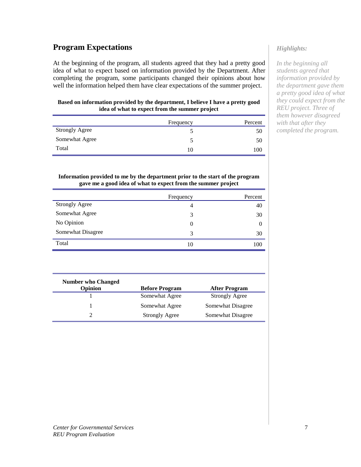# **Program Expectations**

At the beginning of the program, all students agreed that they had a pretty good idea of what to expect based on information provided by the Department. After completing the program, some participants changed their opinions about how well the information helped them have clear expectations of the summer project.

#### **Based on information provided by the department, I believe I have a pretty good idea of what to expect from the summer project**

|                       | Frequency | Percent |
|-----------------------|-----------|---------|
| <b>Strongly Agree</b> |           | 50      |
| Somewhat Agree        |           | 50      |
| Total                 | 10        | 100     |

#### **Information provided to me by the department prior to the start of the program gave me a good idea of what to expect from the summer project**

|                       | Frequency | Percent  |
|-----------------------|-----------|----------|
| <b>Strongly Agree</b> | 4         | 40       |
| Somewhat Agree        | 3         | 30       |
| No Opinion            | $\Omega$  | $\theta$ |
| Somewhat Disagree     | 3         | 30       |
| Total                 | 10        | 100      |

| <b>Number who Changed</b> |                       |                       |
|---------------------------|-----------------------|-----------------------|
| Opinion                   | <b>Before Program</b> | <b>After Program</b>  |
|                           | Somewhat Agree        | <b>Strongly Agree</b> |
|                           | Somewhat Agree        | Somewhat Disagree     |
|                           | <b>Strongly Agree</b> | Somewhat Disagree     |

# *Highlights:*

*In the beginning all students agreed that information provided by the department gave them a pretty good idea of what they could expect from the REU project. Three of them however disagreed with that after they completed the program.*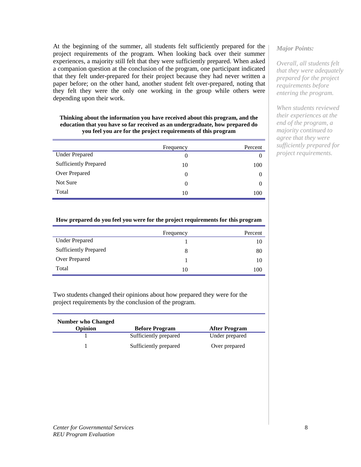At the beginning of the summer, all students felt sufficiently prepared for the project requirements of the program. When looking back over their summer experiences, a majority still felt that they were sufficiently prepared. When asked a companion question at the conclusion of the program, one participant indicated that they felt under-prepared for their project because they had never written a paper before; on the other hand, another student felt over-prepared, noting that they felt they were the only one working in the group while others were depending upon their work.

#### **Thinking about the information you have received about this program, and the education that you have so far received as an undergraduate, how prepared do you feel you are for the project requirements of this program**

|                              | Frequency | Percent  |
|------------------------------|-----------|----------|
| <b>Under Prepared</b>        | $\theta$  |          |
| <b>Sufficiently Prepared</b> | 10        | 100      |
| Over Prepared                | $\theta$  | $\theta$ |
| Not Sure                     | $\theta$  | $\theta$ |
| Total                        | 10        | 100      |

## *Major Points:*

*Overall, all students felt that they were adequately prepared for the project requirements before entering the program.*

*When students reviewed their experiences at the end of the program, a majority continued to agree that they were sufficiently prepared for project requirements.*

#### **How prepared do you feel you were for the project requirements for this program**

|                              | Frequency | Percent |
|------------------------------|-----------|---------|
| <b>Under Prepared</b>        |           | 10      |
| <b>Sufficiently Prepared</b> | 8         | 80      |
| Over Prepared                |           | 10      |
| Total                        | 10        | 100     |

Two students changed their opinions about how prepared they were for the project requirements by the conclusion of the program.

| <b>Number who Changed</b> |                       |                      |
|---------------------------|-----------------------|----------------------|
| Opinion                   | <b>Before Program</b> | <b>After Program</b> |
|                           | Sufficiently prepared | Under prepared       |
|                           | Sufficiently prepared | Over prepared        |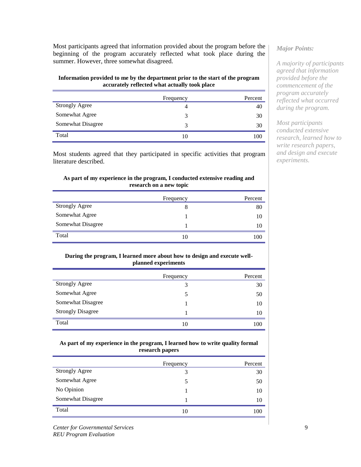Most participants agreed that information provided about the program before the beginning of the program accurately reflected what took place during the summer. However, three somewhat disagreed.

#### **Information provided to me by the department prior to the start of the program accurately reflected what actually took place**

|                       | Frequency     | Percent |
|-----------------------|---------------|---------|
| <b>Strongly Agree</b> | 4             | 40      |
| Somewhat Agree        | 3             | 30      |
| Somewhat Disagree     | $\mathcal{R}$ | 30      |
| Total                 | 10            | 100     |

Most students agreed that they participated in specific activities that program literature described.

#### **As part of my experience in the program, I conducted extensive reading and research on a new topic**

|                       | Frequency | Percent |
|-----------------------|-----------|---------|
| <b>Strongly Agree</b> | 8         | 80      |
| Somewhat Agree        |           | 10      |
| Somewhat Disagree     |           | 10      |
| Total                 | 10        | 100     |

#### **During the program, I learned more about how to design and execute wellplanned experiments**

|                          | Frequency | Percent |
|--------------------------|-----------|---------|
| <b>Strongly Agree</b>    | 3         | 30      |
| Somewhat Agree           |           | 50      |
| Somewhat Disagree        |           | 10      |
| <b>Strongly Disagree</b> |           | 10      |
| Total                    | 10        | 100     |

#### **As part of my experience in the program, I learned how to write quality formal research papers**

|                       | Frequency | Percent |
|-----------------------|-----------|---------|
| <b>Strongly Agree</b> | 3         | 30      |
| Somewhat Agree        | 5         | 50      |
| No Opinion            |           | 10      |
| Somewhat Disagree     |           | 10      |
| Total                 | 10        | 100     |

*Center for Governmental Services REU Program Evaluation*

# *Major Points:*

*A majority of participants agreed that information provided before the commencement of the program accurately reflected what occurred during the program.*

*Most participants conducted extensive research, learned how to write research papers, and design and execute experiments.*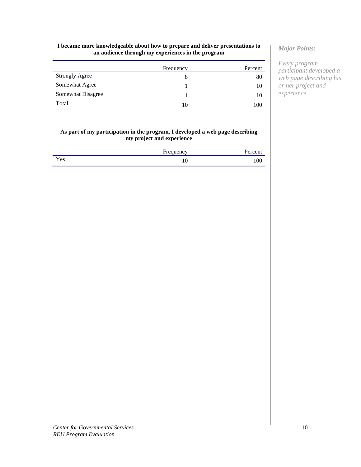#### **I became more knowledgeable about how to prepare and deliver presentations to an audience through my experiences in the program**

|                       | Frequency | Percent |
|-----------------------|-----------|---------|
| <b>Strongly Agree</b> |           | 80      |
| Somewhat Agree        |           | 10      |
| Somewhat Disagree     |           | 10      |
| Total                 | 10        | 100     |

#### **As part of my participation in the program, I developed a web page describing my project and experience**

|     | Frequency | Percent |
|-----|-----------|---------|
| Yes | ΙV        | 100     |

## *Major Points:*

*Every program participant developed a web page describing his or her project and experience.*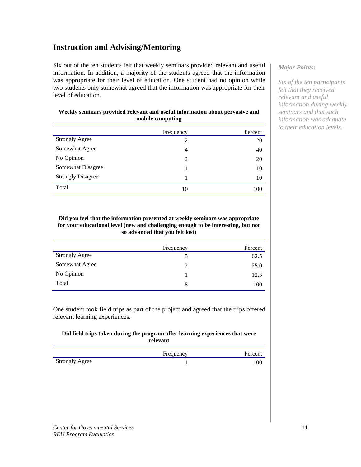# **Instruction and Advising/Mentoring**

Six out of the ten students felt that weekly seminars provided relevant and useful information. In addition, a majority of the students agreed that the information was appropriate for their level of education. One student had no opinion while two students only somewhat agreed that the information was appropriate for their level of education.

| Weekly seminars provided relevant and useful information about pervasive and |  |
|------------------------------------------------------------------------------|--|
| mobile computing                                                             |  |

|                          | Frequency | Percent |
|--------------------------|-----------|---------|
| <b>Strongly Agree</b>    | 2         | 20      |
| Somewhat Agree           | 4         | 40      |
| No Opinion               | 2         | 20      |
| Somewhat Disagree        |           | 10      |
| <b>Strongly Disagree</b> |           | 10      |
| Total                    | 10        | 100     |

#### **Did you feel that the information presented at weekly seminars was appropriate for your educational level (new and challenging enough to be interesting, but not so advanced that you felt lost)**

|                       | Frequency | Percent |
|-----------------------|-----------|---------|
| <b>Strongly Agree</b> |           | 62.5    |
| Somewhat Agree        | 2         | 25.0    |
| No Opinion            |           | 12.5    |
| Total                 | 8         | 100     |

One student took field trips as part of the project and agreed that the trips offered relevant learning experiences.

### **Did field trips taken during the program offer learning experiences that were relevant**

|                       | Frequency | Percent |
|-----------------------|-----------|---------|
| <b>Strongly Agree</b> |           | 100     |

# *Major Points:*

*Six of the ten participants felt that they received relevant and useful information during weekly seminars and that such information was adequate to their education levels.*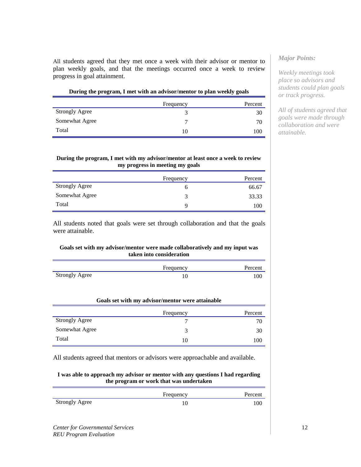All students agreed that they met once a week with their advisor or mentor to plan weekly goals, and that the meetings occurred once a week to review progress in goal attainment.

| During the program, I met with an advisor/mentor to plan weekly goals |           |         |
|-----------------------------------------------------------------------|-----------|---------|
|                                                                       | Frequency | Percent |
| <b>Strongly Agree</b>                                                 |           | 30      |
| Somewhat Agree                                                        |           | 70      |

 $Total$   $10$   $100$ 

#### **During the program, I met with my advisor/mentor at least once a week to review my progress in meeting my goals**

|                       | Frequency | Percent |
|-----------------------|-----------|---------|
| <b>Strongly Agree</b> | O         | 66.67   |
| Somewhat Agree        | 3         | 33.33   |
| Total                 | q         | 100     |

All students noted that goals were set through collaboration and that the goals were attainable.

### **Goals set with my advisor/mentor were made collaboratively and my input was taken into consideration**

|                       | Frequency | Percent |
|-----------------------|-----------|---------|
| <b>Strongly Agree</b> |           | 100     |

#### **Goals set with my advisor/mentor were attainable**

|                       | Frequency | Percent |
|-----------------------|-----------|---------|
| <b>Strongly Agree</b> |           | 70      |
| Somewhat Agree        |           | 30      |
| Total                 | 10        | 100     |

All students agreed that mentors or advisors were approachable and available.

#### **I was able to approach my advisor or mentor with any questions I had regarding the program or work that was undertaken**

|                       | Frequency | Percent |
|-----------------------|-----------|---------|
| <b>Strongly Agree</b> |           | 100     |

## *Major Points:*

*Weekly meetings took place so advisors and students could plan goals or track progress.*

*All of students agreed that goals were made through collaboration and were attainable.*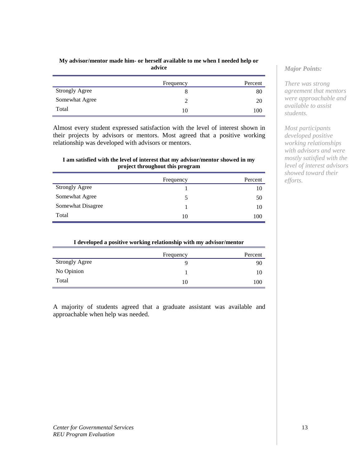#### **My advisor/mentor made him- or herself available to me when I needed help or advice**

|                       | Frequency | Percent |
|-----------------------|-----------|---------|
| <b>Strongly Agree</b> |           | 80      |
| Somewhat Agree        |           | 20      |
| Total                 | 10        | 100     |

Almost every student expressed satisfaction with the level of interest shown in their projects by advisors or mentors. Most agreed that a positive working relationship was developed with advisors or mentors.

### **I am satisfied with the level of interest that my advisor/mentor showed in my project throughout this program**

|                       | Frequency | Percent |
|-----------------------|-----------|---------|
| <b>Strongly Agree</b> |           | 10      |
| Somewhat Agree        |           | 50      |
| Somewhat Disagree     |           | 10      |
| Total                 | 10        | 100     |

| I developed a positive working relationship with my advisor/mentor |           |         |
|--------------------------------------------------------------------|-----------|---------|
|                                                                    | Frequency | Percent |
| <b>Strongly Agree</b>                                              |           | 90      |
| No Opinion                                                         |           | 10      |
| Total                                                              | 10        | 100     |

A majority of students agreed that a graduate assistant was available and approachable when help was needed.

# *Major Points:*

*There was strong agreement that mentors were approachable and available to assist students.*

*Most participants developed positive working relationships with advisors and were mostly satisfied with the level of interest advisors showed toward their efforts.*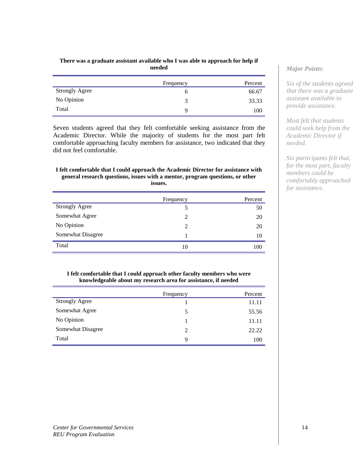#### **There was a graduate assistant available who I was able to approach for help if needed**

|                       | Frequency | Percent |
|-----------------------|-----------|---------|
| <b>Strongly Agree</b> |           | 66.67   |
| No Opinion            | 3         | 33.33   |
| Total                 | Q         | 100     |

Seven students agreed that they felt comfortable seeking assistance from the Academic Director. While the majority of students for the most part felt comfortable approaching faculty members for assistance, two indicated that they did not feel comfortable.

#### **I felt comfortable that I could approach the Academic Director for assistance with general research questions, issues with a mentor, program questions, or other issues.**

|                       | Frequency      | Percent |
|-----------------------|----------------|---------|
| <b>Strongly Agree</b> | 5              | 50      |
| Somewhat Agree        | $\mathfrak{D}$ | 20      |
| No Opinion            | $\mathfrak{D}$ | 20      |
| Somewhat Disagree     |                | 10      |
| Total                 | 10             | 100     |

#### **I felt comfortable that I could approach other faculty members who were knowledgeable about my research area for assistance, if needed**

|                       | Frequency | Percent |
|-----------------------|-----------|---------|
| <b>Strongly Agree</b> |           | 11.11   |
| Somewhat Agree        | 5         | 55.56   |
| No Opinion            |           | 11.11   |
| Somewhat Disagree     | 2         | 22.22   |
| Total                 | 9         | 100     |

# *Major Points:*

*Six of the students agreed that there was a graduate assistant available to provide assistance.*

*Most felt that students could seek help from the Academic Director if needed.*

*Six participants felt that, for the most part, faculty members could be comfortably approached for assistance.*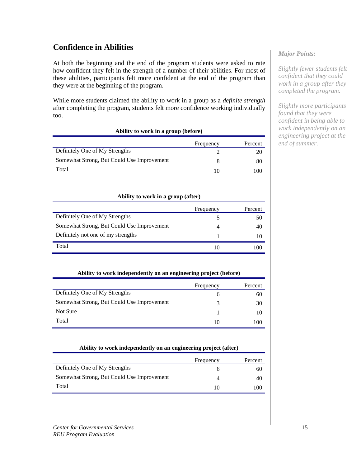# **Confidence in Abilities**

At both the beginning and the end of the program students were asked to rate how confident they felt in the strength of a number of their abilities. For most of these abilities, participants felt more confident at the end of the program than they were at the beginning of the program.

While more students claimed the ability to work in a group as a *definite strength*  after completing the program, students felt more confidence working individually too.

| Ability to work in a group (before)        |                          |         |  |
|--------------------------------------------|--------------------------|---------|--|
|                                            | Frequency                | Percent |  |
| Definitely One of My Strengths             |                          | 20      |  |
| Somewhat Strong, But Could Use Improvement |                          | 80      |  |
| Total                                      | $\mathbf{I}(\mathbf{I})$ | 100     |  |

#### **Ability to work in a group (after)**

| Frequency | Percent |
|-----------|---------|
|           | 50      |
|           | 40      |
|           |         |
|           | 100     |
|           |         |

### **Ability to work independently on an engineering project (before)**

|                                            | Frequency | Percent |
|--------------------------------------------|-----------|---------|
| Definitely One of My Strengths             | h         | 60      |
| Somewhat Strong, But Could Use Improvement | 3         | 30      |
| Not Sure                                   |           | 10      |
| Total                                      | 10        | 100     |

#### **Ability to work independently on an engineering project (after)**

|                                            | Frequency | Percent |
|--------------------------------------------|-----------|---------|
| Definitely One of My Strengths             |           | 60      |
| Somewhat Strong, But Could Use Improvement |           | 40      |
| Total                                      |           | 100     |

### *Major Points:*

*Slightly fewer students felt confident that they could work in a group after they completed the program.*

*Slightly more participants found that they were confident in being able to work independently on an engineering project at the end of summer.*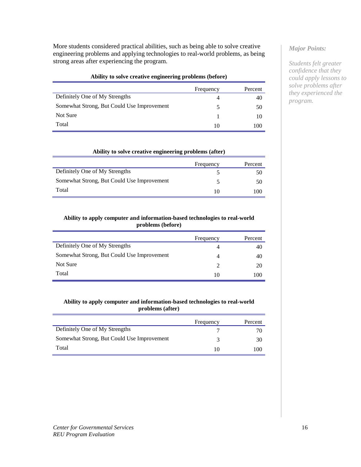More students considered practical abilities, such as being able to solve creative engineering problems and applying technologies to real-world problems, as being strong areas after experiencing the program.

#### **Ability to solve creative engineering problems (before)**

|                                            | Frequency | Percent |
|--------------------------------------------|-----------|---------|
| Definitely One of My Strengths             |           | 40      |
| Somewhat Strong, But Could Use Improvement | 5         | 50      |
| Not Sure                                   |           | 10      |
| Total                                      |           | 100     |

#### **Ability to solve creative engineering problems (after)**

|                                            | Frequency | Percent |
|--------------------------------------------|-----------|---------|
| Definitely One of My Strengths             |           | 50      |
| Somewhat Strong, But Could Use Improvement |           | 50      |
| Total                                      |           | 100     |

#### **Ability to apply computer and information-based technologies to real-world problems (before)**

|                                            | Frequency | Percent |
|--------------------------------------------|-----------|---------|
| Definitely One of My Strengths             |           | 40      |
| Somewhat Strong, But Could Use Improvement |           | 40      |
| Not Sure                                   |           | 20      |
| Total                                      |           | 100     |

#### **Ability to apply computer and information-based technologies to real-world problems (after)**

|                                            | Frequency | Percent |
|--------------------------------------------|-----------|---------|
| Definitely One of My Strengths             |           | 70      |
| Somewhat Strong, But Could Use Improvement | ≺         | 30      |
| Total                                      |           | 100     |

# *Major Points:*

*Students felt greater confidence that they could apply lessons to solve problems after they experienced the program.*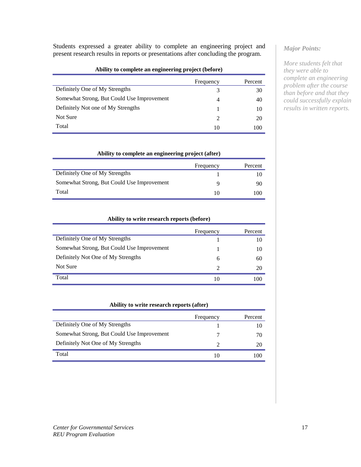Students expressed a greater ability to complete an engineering project and present research results in reports or presentations after concluding the program.

#### **Ability to complete an engineering project (before)**

|                                            | Frequency             | Percent |
|--------------------------------------------|-----------------------|---------|
| Definitely One of My Strengths             | 3                     | 30      |
| Somewhat Strong, But Could Use Improvement | 4                     | 40      |
| Definitely Not one of My Strengths         |                       | 10      |
| Not Sure                                   | $\mathcal{D}_{\cdot}$ | 20      |
| Total                                      | 10                    | 100     |

#### **Ability to complete an engineering project (after)**

|                                            | Frequency | Percent |
|--------------------------------------------|-----------|---------|
| Definitely One of My Strengths             |           |         |
| Somewhat Strong, But Could Use Improvement | Ч         | 90      |
| Total                                      |           | 100     |

#### **Ability to write research reports (before)**

|                                            | Frequency                   | Percent |
|--------------------------------------------|-----------------------------|---------|
| Definitely One of My Strengths             |                             | 10      |
| Somewhat Strong, But Could Use Improvement |                             | 10      |
| Definitely Not One of My Strengths         | 6                           | 60      |
| Not Sure                                   | $\mathcal{D}_{\mathcal{A}}$ | 20      |
| Total                                      |                             |         |

#### **Ability to write research reports (after)**

|                                            | Frequency | Percent |
|--------------------------------------------|-----------|---------|
| Definitely One of My Strengths             |           |         |
| Somewhat Strong, But Could Use Improvement |           | 70      |
| Definitely Not One of My Strengths         | 7         |         |
| Total                                      |           | 100     |

# *Major Points:*

*More students felt that they were able to complete an engineering problem after the course than before and that they could successfully explain results in written reports.*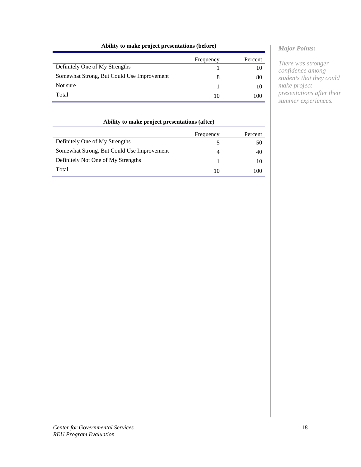# **Ability to make project presentations (before)**

|                                            | Frequency | Percent |
|--------------------------------------------|-----------|---------|
| Definitely One of My Strengths             |           | 10      |
| Somewhat Strong, But Could Use Improvement | 8         | 80      |
| Not sure                                   |           | 10      |
| Total                                      | 10        | 100     |

| Ability to make project presentations (after) |           |            |
|-----------------------------------------------|-----------|------------|
|                                               | Frequency | Percent    |
| Definitely One of My Strengths                |           | 50         |
| Somewhat Strong, But Could Use Improvement    | 4         | 40         |
| Definitely Not One of My Strengths            |           | 10         |
| Total                                         | 10        | $($ $()()$ |

# *Major Points:*

*There was stronger confidence among students that they could make project presentations after their summer experiences.*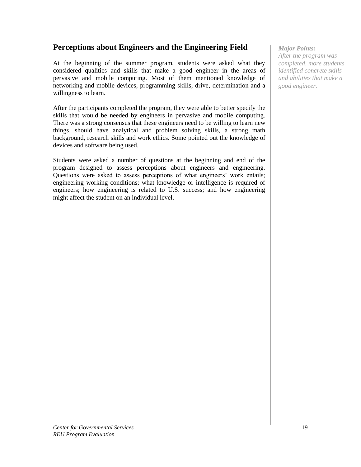# **Perceptions about Engineers and the Engineering Field**

At the beginning of the summer program, students were asked what they considered qualities and skills that make a good engineer in the areas of pervasive and mobile computing. Most of them mentioned knowledge of networking and mobile devices, programming skills, drive, determination and a willingness to learn.

After the participants completed the program, they were able to better specify the skills that would be needed by engineers in pervasive and mobile computing. There was a strong consensus that these engineers need to be willing to learn new things, should have analytical and problem solving skills, a strong math background, research skills and work ethics. Some pointed out the knowledge of devices and software being used.

Students were asked a number of questions at the beginning and end of the program designed to assess perceptions about engineers and engineering. Questions were asked to assess perceptions of what engineers' work entails; engineering working conditions; what knowledge or intelligence is required of engineers; how engineering is related to U.S. success; and how engineering might affect the student on an individual level.

*Major Points: After the program was completed, more students identified concrete skills and abilities that make a good engineer.*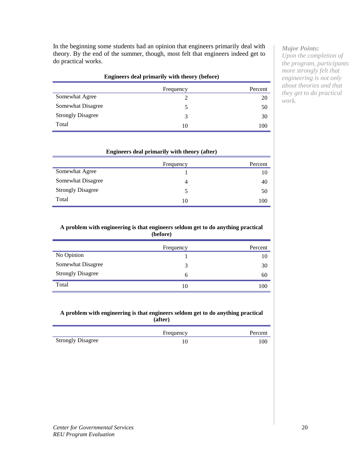In the beginning some students had an opinion that engineers primarily deal with theory. By the end of the summer, though, most felt that engineers indeed get to do practical works.

| Engineers deal primarily with theory (before) |           |         |
|-----------------------------------------------|-----------|---------|
|                                               | Frequency | Percent |
| Somewhat Agree                                |           | 20      |
| Somewhat Disagree                             |           | 50      |
| <b>Strongly Disagree</b>                      | 3         | 30      |
| Total                                         | 10        | 100     |

#### **Engineers deal primarily with theory (after)**

|                          | Frequency | Percent |
|--------------------------|-----------|---------|
| Somewhat Agree           |           | 10      |
| Somewhat Disagree        | 4         | 40      |
| <b>Strongly Disagree</b> |           | 50      |
| Total                    | 10        | 100     |

#### **A problem with engineering is that engineers seldom get to do anything practical (before)**

|                          | Frequency | Percent |
|--------------------------|-----------|---------|
| No Opinion               |           | 10      |
| Somewhat Disagree        | 3         | 30      |
| <b>Strongly Disagree</b> | 6         | 60      |
| Total                    | 10        | 100     |

#### **A problem with engineering is that engineers seldom get to do anything practical (after)**

|                          | Frequency | Percent |
|--------------------------|-----------|---------|
| <b>Strongly Disagree</b> |           | 100     |

## *Major Points:*

*Upon the completion of the program, participants more strongly felt that engineering is not only about theories and that they get to do practical work.*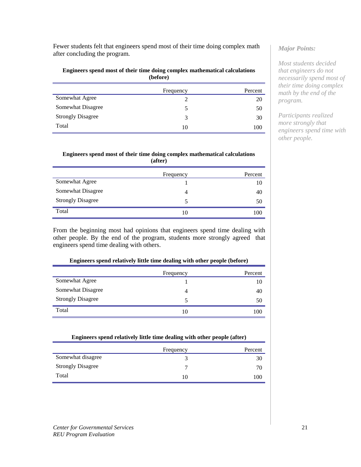Fewer students felt that engineers spend most of their time doing complex math after concluding the program.

#### **Engineers spend most of their time doing complex mathematical calculations (before)**

|                          | Frequency | Percent |
|--------------------------|-----------|---------|
| Somewhat Agree           |           | 20      |
| Somewhat Disagree        | C.        | 50      |
| <b>Strongly Disagree</b> | 3         | 30      |
| Total                    | 10        | 100     |

#### **Engineers spend most of their time doing complex mathematical calculations (after)**

|                          | Frequency | Percent |
|--------------------------|-----------|---------|
| Somewhat Agree           |           | 10      |
| Somewhat Disagree        | 4         | 40      |
| <b>Strongly Disagree</b> | 5         | 50      |
| Total                    | 10        | 100     |

From the beginning most had opinions that engineers spend time dealing with other people. By the end of the program, students more strongly agreed that engineers spend time dealing with others.

| Engineers spend relatively little time dealing with other people (before) |           |         |
|---------------------------------------------------------------------------|-----------|---------|
|                                                                           | Frequency | Percent |
| Somewhat Agree                                                            |           |         |
| Somewhat Disagree                                                         |           | 40      |
| <b>Strongly Disagree</b>                                                  |           | 50      |
| Total                                                                     | 10        | 1 O C   |

| Engineers spend relatively little time dealing with other people (after) |           |         |
|--------------------------------------------------------------------------|-----------|---------|
|                                                                          | Frequency | Percent |
| Somewhat disagree                                                        |           | 30      |
| <b>Strongly Disagree</b>                                                 |           | 70      |
| Total                                                                    | 10        | 100     |

# *Major Points:*

*Most students decided that engineers do not necessarily spend most of their time doing complex math by the end of the program.*

*Participants realized more strongly that engineers spend time with other people.*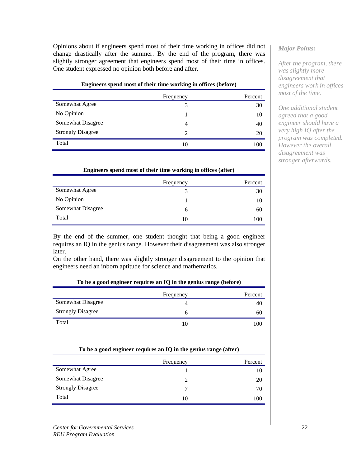Opinions about if engineers spend most of their time working in offices did not change drastically after the summer. By the end of the program, there was slightly stronger agreement that engineers spend most of their time in offices. One student expressed no opinion both before and after.

#### **Engineers spend most of their time working in offices (before)**

|                          | Frequency                   | Percent |
|--------------------------|-----------------------------|---------|
| Somewhat Agree           |                             | 30      |
| No Opinion               |                             | 10      |
| Somewhat Disagree        |                             | 40      |
| <b>Strongly Disagree</b> | $\mathcal{D}_{\mathcal{L}}$ | 20      |
| Total                    | 10                          | 100     |

#### **Engineers spend most of their time working in offices (after)**

|                   | Frequency | Percent |
|-------------------|-----------|---------|
| Somewhat Agree    | 3         | 30      |
| No Opinion        |           | 10      |
| Somewhat Disagree | 6         | 60      |
| Total             | 10        | 100     |

By the end of the summer, one student thought that being a good engineer requires an IQ in the genius range. However their disagreement was also stronger later.

On the other hand, there was slightly stronger disagreement to the opinion that engineers need an inborn aptitude for science and mathematics.

#### **To be a good engineer requires an IQ in the genius range (before)**

|                          | Frequency | Percent |
|--------------------------|-----------|---------|
| Somewhat Disagree        | 4         | 40      |
| <b>Strongly Disagree</b> | o         | 60      |
| Total                    | 10        | 100     |

| To be a good engineer requires an req in the genus range (arier) |           |         |
|------------------------------------------------------------------|-----------|---------|
|                                                                  | Frequency | Percent |
| Somewhat Agree                                                   |           | 10      |
| Somewhat Disagree                                                |           | 20      |
| <b>Strongly Disagree</b>                                         |           | 70      |
| Total                                                            | 10        | 100     |

#### **To be a good engineer requires an IQ in the genius range (after)**

## *Major Points:*

*After the program, there was slightly more disagreement that engineers work in offices most of the time.*

*One additional student agreed that a good engineer should have a very high IQ after the program was completed. However the overall disagreement was stronger afterwards.*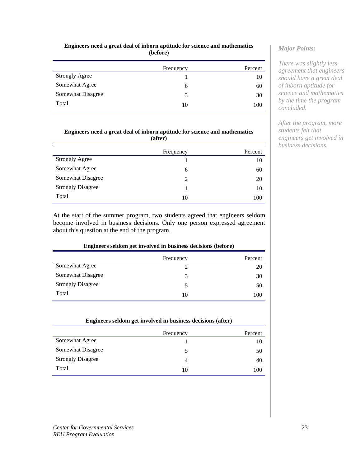#### **Engineers need a great deal of inborn aptitude for science and mathematics (before)**

|                       | Frequency     | Percent |
|-----------------------|---------------|---------|
| <b>Strongly Agree</b> |               | 10      |
| Somewhat Agree        | 6             | 60      |
| Somewhat Disagree     | $\mathcal{E}$ | 30      |
| Total                 | 10            | 100     |

### **Engineers need a great deal of inborn aptitude for science and mathematics (after)**

|                          | Frequency | Percent |
|--------------------------|-----------|---------|
| <b>Strongly Agree</b>    |           | 10      |
| Somewhat Agree           | 6         | 60      |
| Somewhat Disagree        |           | 20      |
| <b>Strongly Disagree</b> |           | 10      |
| Total                    | 10        | 100     |

At the start of the summer program, two students agreed that engineers seldom become involved in business decisions. Only one person expressed agreement about this question at the end of the program.

### **Engineers seldom get involved in business decisions (before)**

|                          | Frequency | Percent |
|--------------------------|-----------|---------|
| Somewhat Agree           |           | 20      |
| Somewhat Disagree        | 3         | 30      |
| <b>Strongly Disagree</b> | 5         | 50      |
| Total                    | 10        | 100     |

| Engineers seldom get involved in business decisions (after) |           |         |
|-------------------------------------------------------------|-----------|---------|
|                                                             | Frequency | Percent |
| Somewhat Agree                                              |           | 10      |
| Somewhat Disagree                                           |           | 50      |
| <b>Strongly Disagree</b>                                    | 4         | 40      |
| Total                                                       | 10        | 100     |

## *Major Points:*

*There was slightly less agreement that engineers should have a great deal of inborn aptitude for science and mathematics by the time the program concluded.*

*After the program, more students felt that engineers get involved in business decisions.*

=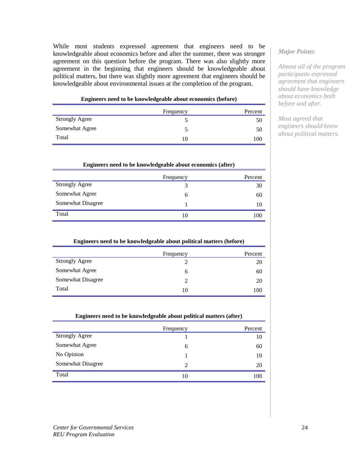While most students expressed agreement that engineers need to be knowledgeable about economics before and after the summer, there was stronger agreement on this question before the program. There was also slightly more agreement in the beginning that engineers should be knowledgeable about political matters, but there was slightly more agreement that engineers should be knowledgeable about environmental issues at the completion of the program.

| Engineers need to be knowledgeable about economics (before) |
|-------------------------------------------------------------|
|-------------------------------------------------------------|

|                       | Frequency | Percent |
|-----------------------|-----------|---------|
| <b>Strongly Agree</b> |           | 50      |
| Somewhat Agree        |           | 50      |
| Total                 | 10        | 100     |

| Engineers need to be knowledgeable about economics (after) |           |         |
|------------------------------------------------------------|-----------|---------|
|                                                            | Frequency | Percent |
| <b>Strongly Agree</b>                                      |           | 30      |
| Somewhat Agree                                             | 6         | 60      |
| Somewhat Disagree                                          |           | 10      |
| Total                                                      | 10        | 100     |

|  | Engineers need to be knowledgeable about political matters (before) |
|--|---------------------------------------------------------------------|
|  |                                                                     |

|                       | Frequency | Percent |
|-----------------------|-----------|---------|
| <b>Strongly Agree</b> |           | 20      |
| Somewhat Agree        | b         | 60      |
| Somewhat Disagree     | റ         | 20      |
| Total                 | 10        | 100     |

| Engineers need to be knowledgeable about political matters (after) |           |         |
|--------------------------------------------------------------------|-----------|---------|
|                                                                    | Frequency | Percent |
| <b>Strongly Agree</b>                                              |           | 10      |
| Somewhat Agree                                                     | 6         | 60      |
| No Opinion                                                         |           | 10      |
| Somewhat Disagree                                                  | 2         | 20      |
| Total                                                              | 10        | 100     |

## *Major Points:*

*Almost all of the program participants expressed agreement that engineers should have knowledge about economics both before and after.*

*Most agreed that engineers should know about political matters.*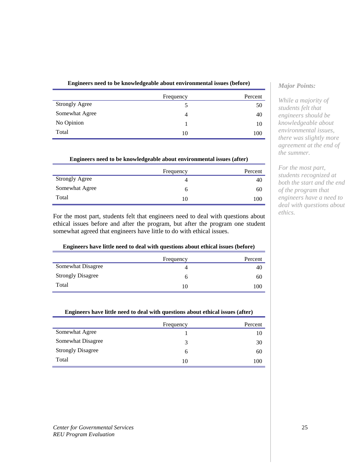| Engineers need to be knowledgeable about environmental issues (before) |  |
|------------------------------------------------------------------------|--|
|------------------------------------------------------------------------|--|

|                       | Frequency | Percent |
|-----------------------|-----------|---------|
| <b>Strongly Agree</b> |           | 50      |
| Somewhat Agree        | 4         | 40      |
| No Opinion            |           | 10      |
| Total                 | 10        | 100     |

**Engineers need to be knowledgeable about environmental issues (after)**

|                       | Frequency | Percent |
|-----------------------|-----------|---------|
| <b>Strongly Agree</b> | 4         | 40      |
| Somewhat Agree        | O         | 60      |
| Total                 | 10        | 100     |

For the most part, students felt that engineers need to deal with questions about ethical issues before and after the program, but after the program one student somewhat agreed that engineers have little to do with ethical issues.

### **Engineers have little need to deal with questions about ethical issues (before)**

|                          | Frequency | Percent |
|--------------------------|-----------|---------|
| Somewhat Disagree        | 4         | 40      |
| <b>Strongly Disagree</b> | h         | 60      |
| Total                    | 10        | 100     |

### **Engineers have little need to deal with questions about ethical issues (after)**

|                          | Frequency    | Percent |
|--------------------------|--------------|---------|
| Somewhat Agree           |              | 10      |
| Somewhat Disagree        | 3            | 30      |
| <b>Strongly Disagree</b> | <sub>0</sub> | 60      |
| Total                    | 10           | 100     |

# *Major Points:*

*While a majority of students felt that engineers should be knowledgeable about environmental issues, there was slightly more agreement at the end of the summer.*

*For the most part, students recognized at both the start and the end of the program that engineers have a need to deal with questions about ethics.*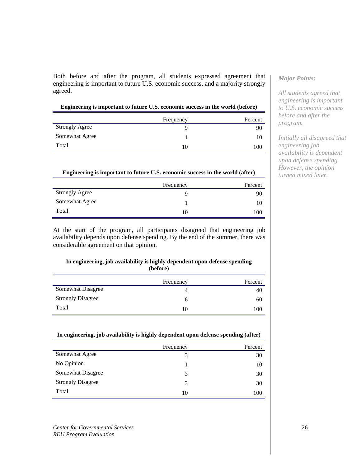Both before and after the program, all students expressed agreement that engineering is important to future U.S. economic success, and a majority strongly agreed.

| Engineering is important to future U.S. economic success in the world (before) |
|--------------------------------------------------------------------------------|
|                                                                                |

|                       | Frequency | Percent |
|-----------------------|-----------|---------|
| <b>Strongly Agree</b> |           | 90      |
| Somewhat Agree        |           | 10      |
| Total                 | 10        | 100     |

#### **Engineering is important to future U.S. economic success in the world (after)**

|                       | Frequency | Percent |
|-----------------------|-----------|---------|
| <b>Strongly Agree</b> |           | 90      |
| Somewhat Agree        |           | 10      |
| Total                 | 10        | 100     |

At the start of the program, all participants disagreed that engineering job availability depends upon defense spending. By the end of the summer, there was considerable agreement on that opinion.

#### **In engineering, job availability is highly dependent upon defense spending (before)**

|                          | Frequency | Percent |
|--------------------------|-----------|---------|
| Somewhat Disagree        | 4         | 40      |
| <b>Strongly Disagree</b> | o         | 60      |
| Total                    | 10        | 100     |

#### **In engineering, job availability is highly dependent upon defense spending (after)**

|                          | Frequency     | Percent |
|--------------------------|---------------|---------|
| Somewhat Agree           | 3             | 30      |
| No Opinion               |               | 10      |
| Somewhat Disagree        | 3             | 30      |
| <b>Strongly Disagree</b> | $\mathcal{F}$ | 30      |
| Total                    | 10            | 100     |

#### *Center for Governmental Services REU Program Evaluation*

# *Major Points:*

*All students agreed that engineering is important to U.S. economic success before and after the program.*

*Initially all disagreed that engineering job availability is dependent upon defense spending. However, the opinion turned mixed later.*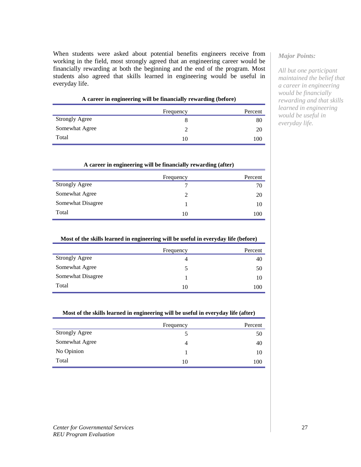When students were asked about potential benefits engineers receive from working in the field, most strongly agreed that an engineering career would be financially rewarding at both the beginning and the end of the program. Most students also agreed that skills learned in engineering would be useful in everyday life.

|                       | . | $\sim$ |           | $\sim$  |
|-----------------------|---|--------|-----------|---------|
|                       |   |        | Frequency | Percent |
| <b>Strongly Agree</b> |   |        |           | 80      |
| Somewhat Agree        |   |        |           | 20      |
| Total                 |   |        | 10        | 100     |

|  |  |  |  |  |  |  | A career in engineering will be financially rewarding (before) |  |
|--|--|--|--|--|--|--|----------------------------------------------------------------|--|
|--|--|--|--|--|--|--|----------------------------------------------------------------|--|

| A career in engineering will be financially rewarding (after) |           |         |  |
|---------------------------------------------------------------|-----------|---------|--|
|                                                               | Frequency | Percent |  |
| <b>Strongly Agree</b>                                         |           | 70      |  |
| Somewhat Agree                                                |           | 20      |  |
| Somewhat Disagree                                             |           | 10      |  |
| Total                                                         | 10        | 100     |  |

| Most of the skills learned in engineering will be useful in everyday life (before) |  |  |
|------------------------------------------------------------------------------------|--|--|
|                                                                                    |  |  |

|                       | Frequency | Percent |
|-----------------------|-----------|---------|
| <b>Strongly Agree</b> | 4         | 40      |
| Somewhat Agree        |           | 50      |
| Somewhat Disagree     |           | 10      |
| Total                 | 10        | 100     |

#### **Most of the skills learned in engineering will be useful in everyday life (after)**

|                       | Frequency | Percent |
|-----------------------|-----------|---------|
| <b>Strongly Agree</b> |           | 50      |
| Somewhat Agree        | 4         | 40      |
| No Opinion            |           | 10      |
| Total                 | 10        | 100     |

#### *Major Points:*

*All but one participant maintained the belief that a career in engineering would be financially rewarding and that skills learned in engineering would be useful in everyday life.*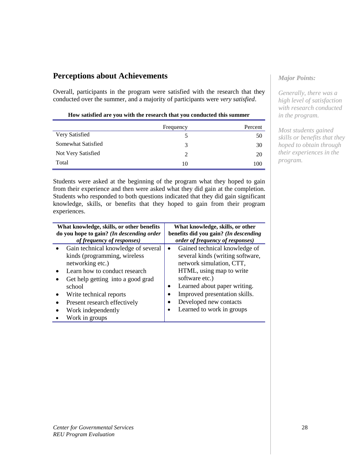# **Perceptions about Achievements**

Overall, participants in the program were satisfied with the research that they conducted over the summer, and a majority of participants were *very satisfied*.

#### **How satisfied are you with the research that you conducted this summer**

|                    | Frequency     | Percent |
|--------------------|---------------|---------|
| Very Satisfied     |               | 50      |
| Somewhat Satisfied | $\mathcal{R}$ | 30      |
| Not Very Satisfied |               | 20      |
| Total              | 10            | 100     |

Students were asked at the beginning of the program what they hoped to gain from their experience and then were asked what they did gain at the completion. Students who responded to both questions indicated that they did gain significant knowledge, skills, or benefits that they hoped to gain from their program experiences.

| What knowledge, skills, or other benefits<br>do you hope to gain? (In descending order<br>of frequency of responses) |                                                                                                                                                                                                                                                          | What knowledge, skills, or other<br>benefits did you gain? (In descending<br>order of frequency of responses)                                                                                                                                                       |
|----------------------------------------------------------------------------------------------------------------------|----------------------------------------------------------------------------------------------------------------------------------------------------------------------------------------------------------------------------------------------------------|---------------------------------------------------------------------------------------------------------------------------------------------------------------------------------------------------------------------------------------------------------------------|
|                                                                                                                      | Gain technical knowledge of several<br>kinds (programming, wireless<br>networking etc.)<br>Learn how to conduct research<br>Get help getting into a good grad<br>school<br>Write technical reports<br>Present research effectively<br>Work independently | Gained technical knowledge of<br>several kinds (writing software,<br>network simulation, CTT,<br>HTML, using map to write<br>software etc.)<br>Learned about paper writing.<br>Improved presentation skills.<br>Developed new contacts<br>Learned to work in groups |
|                                                                                                                      | Work in groups                                                                                                                                                                                                                                           |                                                                                                                                                                                                                                                                     |

## *Major Points:*

*Generally, there was a high level of satisfaction with research conducted in the program.*

*Most students gained skills or benefits that they hoped to obtain through their experiences in the program.*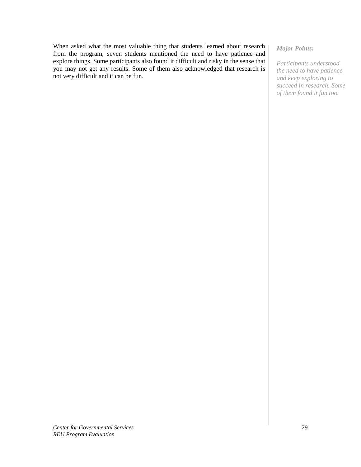When asked what the most valuable thing that students learned about research from the program, seven students mentioned the need to have patience and explore things. Some participants also found it difficult and risky in the sense that you may not get any results. Some of them also acknowledged that research is not very difficult and it can be fun.

## *Major Points:*

*Participants understood the need to have patience and keep exploring to succeed in research. Some of them found it fun too.*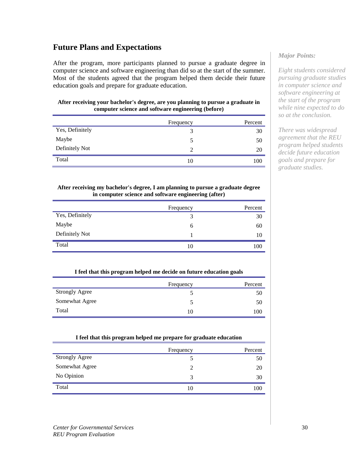# **Future Plans and Expectations**

After the program, more participants planned to pursue a graduate degree in computer science and software engineering than did so at the start of the summer. Most of the students agreed that the program helped them decide their future education goals and prepare for graduate education.

#### **After receiving your bachelor's degree, are you planning to pursue a graduate in computer science and software engineering (before)**

|                 | Frequency      | Percent |
|-----------------|----------------|---------|
| Yes, Definitely | 3              | 30      |
| Maybe           | 5              | 50      |
| Definitely Not  | $\overline{2}$ | 20      |
| Total           | 10             | 100     |

#### **After receiving my bachelor's degree, I am planning to pursue a graduate degree in computer science and software engineering (after)**

|                 | Frequency | Percent |
|-----------------|-----------|---------|
| Yes, Definitely | 3         | 30      |
| Maybe           | 6         | 60      |
| Definitely Not  |           | 10      |
| Total           | 10        | 100     |

### **I feel that this program helped me decide on future education goals**

|                       | Frequency | Percent |
|-----------------------|-----------|---------|
| <b>Strongly Agree</b> |           | 50      |
| Somewhat Agree        |           | 50      |
| Total                 | 10        | 100     |

### **I feel that this program helped me prepare for graduate education**

|                       | Frequency | Percent |
|-----------------------|-----------|---------|
| <b>Strongly Agree</b> |           | 50      |
| Somewhat Agree        |           | 20      |
| No Opinion            | 3         | 30      |
| Total                 | 10        | 100     |

# *Major Points:*

*Eight students considered pursuing graduate studies in computer science and software engineering at the start of the program while nine expected to do so at the conclusion.*

*There was widespread agreement that the REU program helped students decide future education goals and prepare for graduate studies.*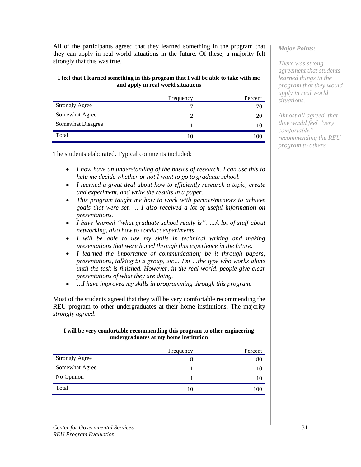All of the participants agreed that they learned something in the program that they can apply in real world situations in the future. Of these, a majority felt strongly that this was true.

## **I feel that I learned something in this program that I will be able to take with me and apply in real world situations**

|                       | Frequency | Percent |
|-----------------------|-----------|---------|
| <b>Strongly Agree</b> |           | 70      |
| Somewhat Agree        | C         | 20      |
| Somewhat Disagree     |           | 10      |
| Total                 | 10        | 100     |

The students elaborated. Typical comments included:

- *I now have an understanding of the basics of research. I can use this to help me decide whether or not I want to go to graduate school.*
- *I learned a great deal about how to efficiently research a topic, create and experiment, and write the results in a paper.*
- *This program taught me how to work with partner/mentors to achieve goals that were set. … I also received a lot of useful information on presentations.*
- *I have learned "what graduate school really is". ...A lot of stuff about networking, also how to conduct experiments*
- *I will be able to use my skills in technical writing and making presentations that were honed through this experience in the future.*
- *I learned the importance of communication; be it through papers, presentations, talking in a group, etc… I'm …the type who works alone until the task is finished. However, in the real world, people give clear presentations of what they are doing.*
- *…I have improved my skills in programming through this program.*

Most of the students agreed that they will be very comfortable recommending the REU program to other undergraduates at their home institutions. The majority *strongly agreed*.

# **I will be very comfortable recommending this program to other engineering undergraduates at my home institution**

|                       | Frequency | Percent |
|-----------------------|-----------|---------|
| <b>Strongly Agree</b> |           | 80      |
| Somewhat Agree        |           | 10      |
| No Opinion            |           | 10      |
| Total                 | 10        | 100     |

## *Major Points:*

*There was strong agreement that students learned things in the program that they would apply in real world situations.*

*Almost all agreed that they would feel "very comfortable" recommending the REU program to others.*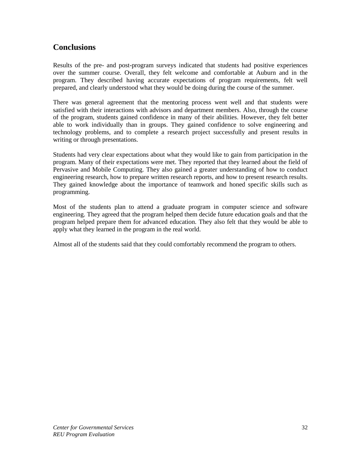# **Conclusions**

Results of the pre- and post-program surveys indicated that students had positive experiences over the summer course. Overall, they felt welcome and comfortable at Auburn and in the program. They described having accurate expectations of program requirements, felt well prepared, and clearly understood what they would be doing during the course of the summer.

There was general agreement that the mentoring process went well and that students were satisfied with their interactions with advisors and department members. Also, through the course of the program, students gained confidence in many of their abilities. However, they felt better able to work individually than in groups. They gained confidence to solve engineering and technology problems, and to complete a research project successfully and present results in writing or through presentations.

Students had very clear expectations about what they would like to gain from participation in the program. Many of their expectations were met. They reported that they learned about the field of Pervasive and Mobile Computing. They also gained a greater understanding of how to conduct engineering research, how to prepare written research reports, and how to present research results. They gained knowledge about the importance of teamwork and honed specific skills such as programming.

Most of the students plan to attend a graduate program in computer science and software engineering. They agreed that the program helped them decide future education goals and that the program helped prepare them for advanced education. They also felt that they would be able to apply what they learned in the program in the real world.

Almost all of the students said that they could comfortably recommend the program to others.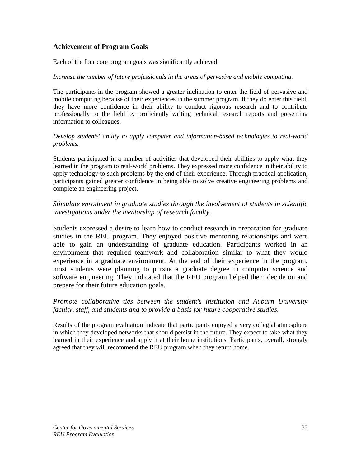# **Achievement of Program Goals**

Each of the four core program goals was significantly achieved:

## *Increase the number of future professionals in the areas of pervasive and mobile computing.*

The participants in the program showed a greater inclination to enter the field of pervasive and mobile computing because of their experiences in the summer program. If they do enter this field, they have more confidence in their ability to conduct rigorous research and to contribute professionally to the field by proficiently writing technical research reports and presenting information to colleagues.

## *Develop students' ability to apply computer and information-based technologies to real-world problems.*

Students participated in a number of activities that developed their abilities to apply what they learned in the program to real-world problems. They expressed more confidence in their ability to apply technology to such problems by the end of their experience. Through practical application, participants gained greater confidence in being able to solve creative engineering problems and complete an engineering project.

# *Stimulate enrollment in graduate studies through the involvement of students in scientific investigations under the mentorship of research faculty.*

Students expressed a desire to learn how to conduct research in preparation for graduate studies in the REU program. They enjoyed positive mentoring relationships and were able to gain an understanding of graduate education. Participants worked in an environment that required teamwork and collaboration similar to what they would experience in a graduate environment. At the end of their experience in the program, most students were planning to pursue a graduate degree in computer science and software engineering. They indicated that the REU program helped them decide on and prepare for their future education goals.

# *Promote collaborative ties between the student's institution and Auburn University faculty, staff, and students and to provide a basis for future cooperative studies.*

Results of the program evaluation indicate that participants enjoyed a very collegial atmosphere in which they developed networks that should persist in the future. They expect to take what they learned in their experience and apply it at their home institutions. Participants, overall, strongly agreed that they will recommend the REU program when they return home.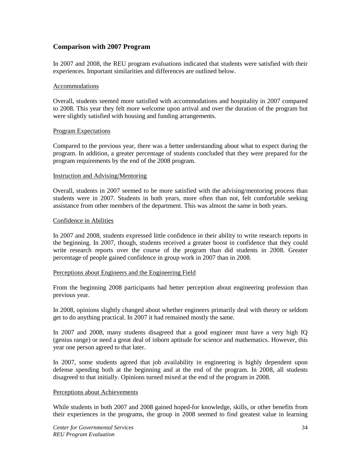# **Comparison with 2007 Program**

In 2007 and 2008, the REU program evaluations indicated that students were satisfied with their experiences. Important similarities and differences are outlined below.

#### Accommodations

Overall, students seemed more satisfied with accommodations and hospitality in 2007 compared to 2008. This year they felt more welcome upon arrival and over the duration of the program but were slightly satisfied with housing and funding arrangements.

#### Program Expectations

Compared to the previous year, there was a better understanding about what to expect during the program. In addition, a greater percentage of students concluded that they were prepared for the program requirements by the end of the 2008 program.

#### Instruction and Advising/Mentoring

Overall, students in 2007 seemed to be more satisfied with the advising/mentoring process than students were in 2007. Students in both years, more often than not, felt comfortable seeking assistance from other members of the department. This was almost the same in both years.

#### Confidence in Abilities

In 2007 and 2008, students expressed little confidence in their ability to write research reports in the beginning. In 2007, though, students received a greater boost in confidence that they could write research reports over the course of the program than did students in 2008. Greater percentage of people gained confidence in group work in 2007 than in 2008.

#### Perceptions about Engineers and the Engineering Field

From the beginning 2008 participants had better perception about engineering profession than previous year.

In 2008, opinions slightly changed about whether engineers primarily deal with theory or seldom get to do anything practical. In 2007 it had remained mostly the same.

In 2007 and 2008, many students disagreed that a good engineer must have a very high IQ (genius range) or need a great deal of inborn aptitude for science and mathematics. However, this year one person agreed to that later.

In 2007, some students agreed that job availability in engineering is highly dependent upon defense spending both at the beginning and at the end of the program. In 2008, all students disagreed to that initially. Opinions turned mixed at the end of the program in 2008.

#### Perceptions about Achievements

While students in both 2007 and 2008 gained hoped-for knowledge, skills, or other benefits from their experiences in the programs, the group in 2008 seemed to find greatest value in learning